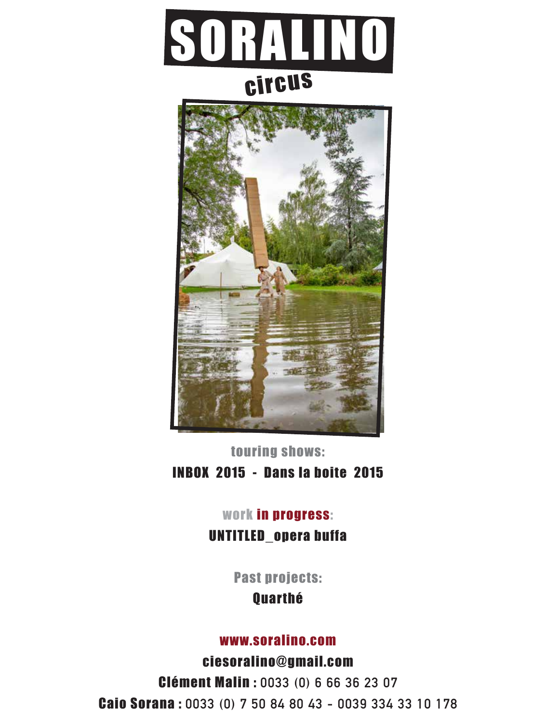



touring shows: INBOX 2015 - Dans la boite 2015

### work in progress:

UNTITLED\_opera buffa

Past projects:

**Quarthé** 

#### www.soralino.com

ciesoralino@gmail.com Clément Malin : **0033 (0) 6 66 36 23 07** Caio Sorana : **0033 (0) 7 50 84 80 43 - 0039 334 33 10 178**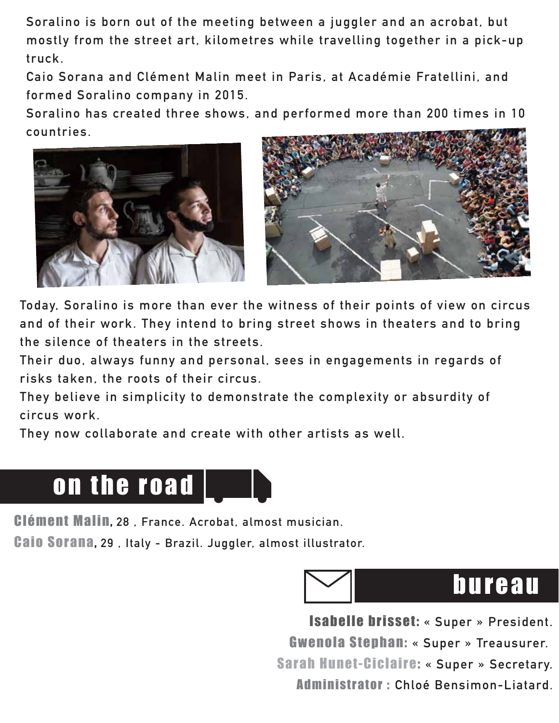**Soralino is born out of the meeting between a juggler and an acrobat, but mostly from the street art, kilometres while travelling together in a pick-up truck.**

 **Caio Sorana and Clément Malin meet in Paris, at Académie Fratellini, and formed Soralino company in 2015.**

**Soralino has created three shows, and performed more than 200 times in 10 countries.**





**Today, Soralino is more than ever the witness of their points of view on circus and of their work. They intend to bring street shows in theaters and to bring the silence of theaters in the streets.**

 **Their duo, always funny and personal, sees in engagements in regards of risks taken, the roots of their circus.** 

**They believe in simplicity to demonstrate the complexity or absurdity of circus work.**

 **They now collaborate and create with other artists as well.**



Clément Malin, **28 , France. Acrobat, almost musician.**

Caio Sorana, **29 , Italy - Brazil. Juggler, almost illustrator.**



Isabelle brisset: **« Super » President.** Gwenola Stephan: **« Super » Treausurer.** Sarah Hunet-Ciclaire: **« Super » Secretary.** Administrator : **Chloé Bensimon-Liatard.**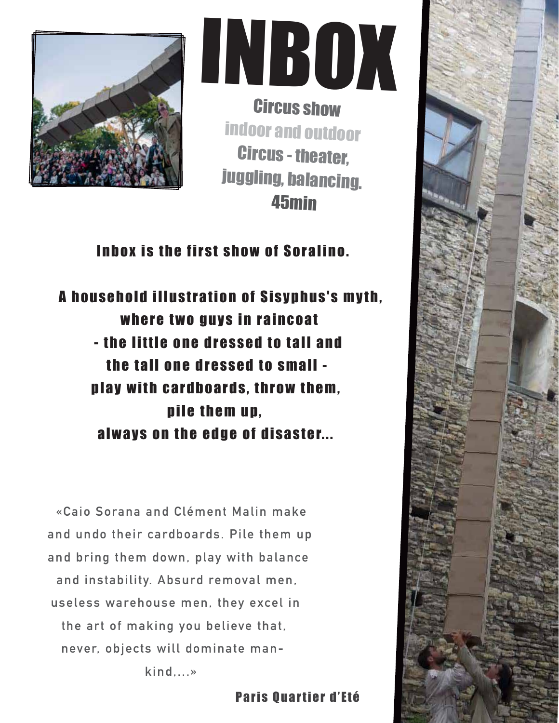



Circus show indoor and outdoor Circus - theater, juggling, balancing. 45min

Inbox is the first show of Soralino.

A household illustration of Sisyphus's myth, where two guys in raincoat - the little one dressed to tall and the tall one dressed to small play with cardboards, throw them, pile them up, always on the edge of disaster...

**«Caio Sorana and Clément Malin make and undo their cardboards. Pile them up and bring them down, play with balance and instability. Absurd removal men, useless warehouse men, they excel in the art of making you believe that, never, objects will dominate mankind,...»**

Paris Quartier d'Eté

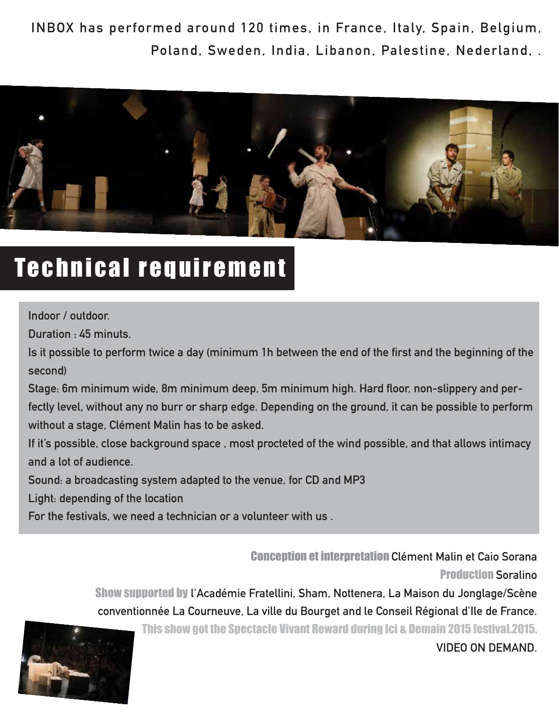**INBOX has performed around 120 times, in France, Italy, Spain, Belgium, Poland, Sweden, India, Libanon, Palestine, Nederland, .**



### Technical requirement

#### **Indoor / outdoor.**

**Duration : 45 minuts.**

**Is it possible to perform twice a day (minimum 1h between the end of the first and the beginning of the second)**

**Stage: 6m minimum wide, 8m minimum deep, 5m minimum high. Hard floor, non-slippery and perfectly level, without any no burr or sharp edge. Depending on the ground, it can be possible to perform without a stage, Clément Malin has to be asked.**

**If it's possible, close background space , most procteted of the wind possible, and that allows intimacy and a lot of audience.**

**Sound: a broadcasting system adapted to the venue, for CD and MP3** 

**Light: depending of the location**

**For the festivals, we need a technician or a volunteer with us .**

Conception et interpretation **Clément Malin et Caio Sorana** Production **Soralino**

Show supported by **l'Académie Fratellini, Sham, Nottenera, La Maison du Jonglage/Scène conventionnée La Courneuve, La ville du Bourget and le Conseil Régional d'Ile de France.**

This show got the Spectacle Vivant Reward during Ici & Demain 2015 festival.2015. **VIDEO ON DEMAND.**

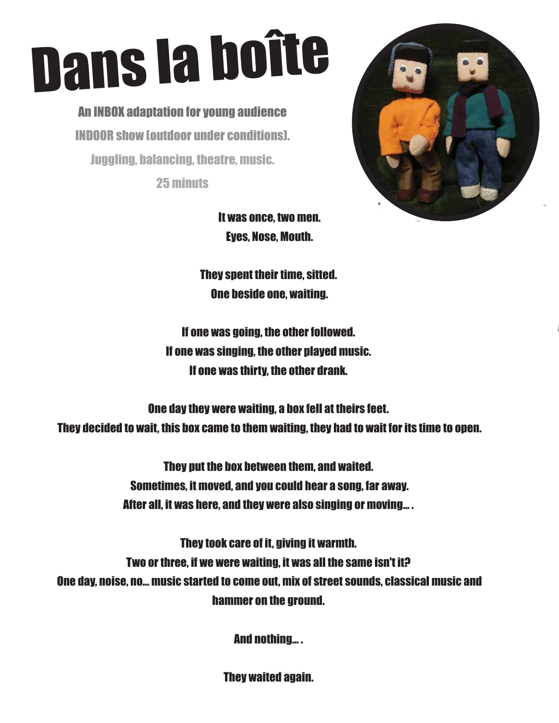# Dans la boîte

An INBOX adaptation for young audience INDOOR show (outdoor under conditions). Juggling, balancing, theatre, music.

25 minuts



 It was once, two men. Eyes, Nose, Mouth.

They spent their time, sitted. One beside one, waiting.

If one was going, the other followed. If one was singing, the other played music. If one was thirty, the other drank.

One day they were waiting, a box fell at theirs feet. They decided to wait, this box came to them waiting, they had to wait for its time to open.

> They put the box between them, and waited. Sometimes, it moved, and you could hear a song, far away. After all, it was here, and they were also singing or moving... .

They took care of it, giving it warmth. Two or three, if we were waiting, it was all the same isn't it? One day, noise, no... music started to come out, mix of street sounds, classical music and hammer on the ground.

And nothing... .

They waited again.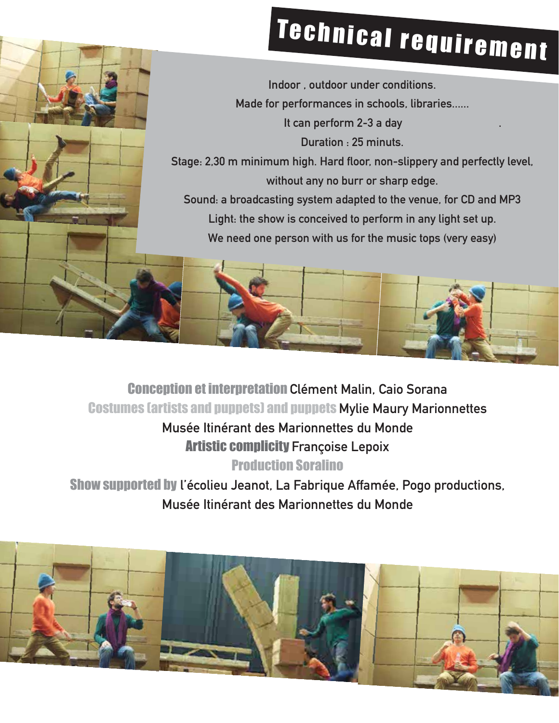## Technical requirement

**Indoor , outdoor under conditions. Made for performances in schools, libraries...... It can perform 2-3 a day . Duration : 25 minuts. Stage: 2,30 m minimum high. Hard floor, non-slippery and perfectly level, without any no burr or sharp edge.**

**Sound: a broadcasting system adapted to the venue, for CD and MP3 Light: the show is conceived to perform in any light set up.**

**We need one person with us for the music tops (very easy)**

Conception et interpretation **Clément Malin, Caio Sorana**  Costumes (artists and puppets) and puppets **Mylie Maury Marionnettes Musée Itinérant des Marionnettes du Monde** 

Artistic complicity **Françoise Lepoix**

Production Soralino

Show supported by **l'écolieu Jeanot, La Fabrique Affamée, Pogo productions, Musée Itinérant des Marionnettes du Monde**

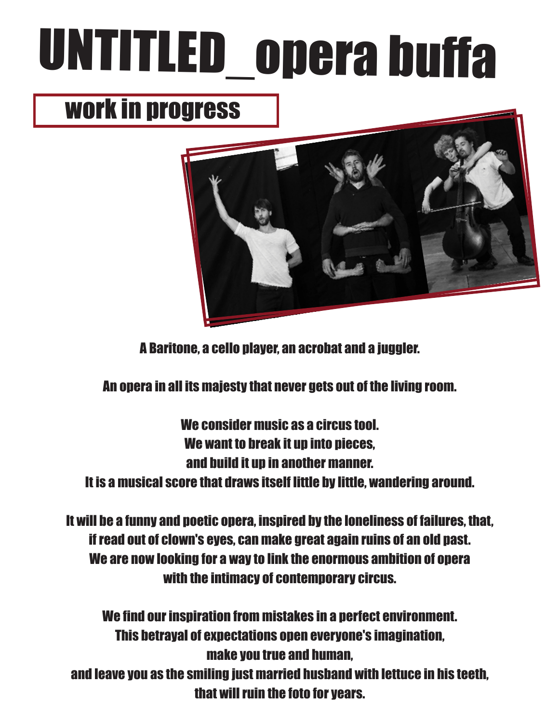# UNTITLED\_opera buffa

### work in progress



A Baritone, a cello player, an acrobat and a juggler.

An opera in all its majesty that never gets out of the living room.

We consider music as a circus tool. We want to break it up into pieces. and build it up in another manner. It is a musical score that draws itself little by little, wandering around.

It will be a funny and poetic opera, inspired by the loneliness of failures, that, if read out of clown's eyes, can make great again ruins of an old past. We are now looking for a way to link the enormous ambition of opera with the intimacy of contemporary circus.

We find our inspiration from mistakes in a perfect environment. This betrayal of expectations open everyone's imagination, make you true and human, and leave you as the smiling just married husband with lettuce in his teeth, that will ruin the foto for years.